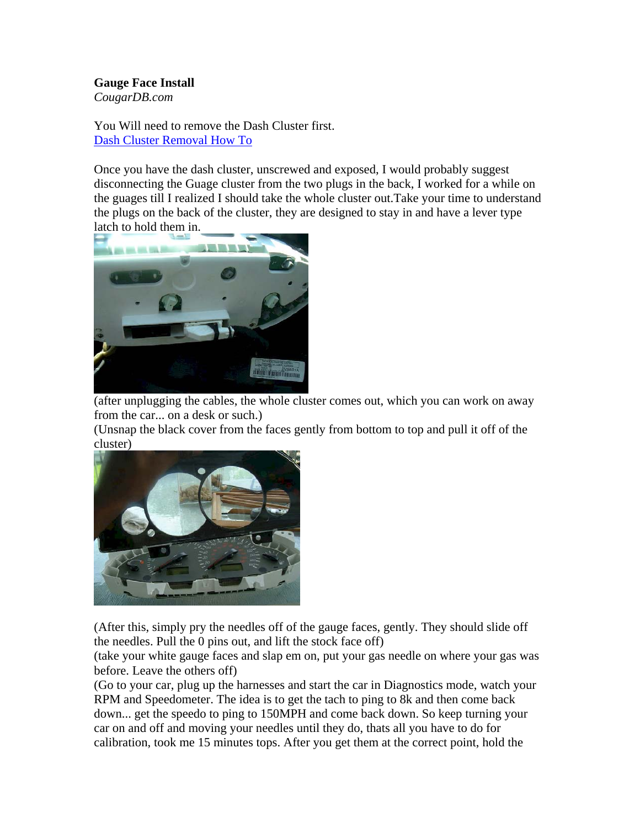## **Gauge Face Install**

*CougarDB.com*

You Will need to remove the Dash Cluster first. Dash Cluster Removal How To

Once you have the dash cluster, unscrewed and exposed, I would probably suggest disconnecting the Guage cluster from the two plugs in the back, I worked for a while on the guages till I realized I should take the whole cluster out.Take your time to understand the plugs on the back of the cluster, they are designed to stay in and have a lever type latch to hold them in.



(after unplugging the cables, the whole cluster comes out, which you can work on away from the car... on a desk or such.)

(Unsnap the black cover from the faces gently from bottom to top and pull it off of the cluster)



(After this, simply pry the needles off of the gauge faces, gently. They should slide off the needles. Pull the 0 pins out, and lift the stock face off)

(take your white gauge faces and slap em on, put your gas needle on where your gas was before. Leave the others off)

(Go to your car, plug up the harnesses and start the car in Diagnostics mode, watch your RPM and Speedometer. The idea is to get the tach to ping to 8k and then come back down... get the speedo to ping to 150MPH and come back down. So keep turning your car on and off and moving your needles until they do, thats all you have to do for calibration, took me 15 minutes tops. After you get them at the correct point, hold the